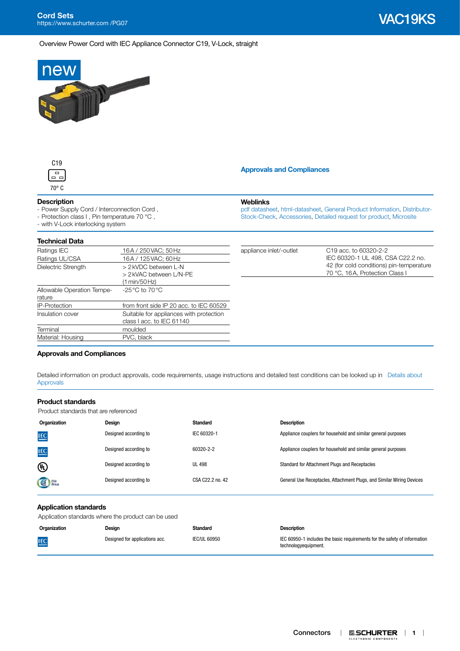Overview Power Cord with IEC Appliance Connector C19, V-Lock, straight





## **Description**

- Power Supply Cord / Interconnection Cord ,

- Protection class I , Pin temperature 70 °C ,

- with V-Lock interlocking system

#### **Technical Data**

| Ratings IEC                          | 16A / 250 VAC; 50 Hz                                                 |
|--------------------------------------|----------------------------------------------------------------------|
| Ratings UL/CSA                       | 16A / 125 VAC; 60 Hz                                                 |
| Dielectric Strength                  | > 2 kVDC between L-N<br>> 2 kVAC between L/N-PE<br>(1 min/50 Hz)     |
| Allowable Operation Tempe-<br>rature | -25 °C to 70 °C                                                      |
| <b>IP-Protection</b>                 | from front side IP 20 acc. to IEC 60529                              |
| Insulation cover                     | Suitable for appliances with protection<br>class I acc. to IEC 61140 |
| Terminal                             | moulded                                                              |
| Material: Housing                    | PVC, black                                                           |

|  | <b>Approvals and Compliances</b> |  |
|--|----------------------------------|--|
|  |                                  |  |

#### **Weblinks**

[pdf datasheet](http://www.schurter.ch/pdf/english/typ_VAC19KS.pdf), [html-datasheet,](http://www.schurter.ch/en/datasheet/VAC19KS) [General Product Information](http://www.schurter.com/en/Components/Connectors/General-Product-Information), [Distributor-](https://www.schurter.com/en/Stock-Check/Stock-Check-Distributor?partnumber1=VAC19KS)[Stock-Check](https://www.schurter.com/en/Stock-Check/Stock-Check-Distributor?partnumber1=VAC19KS), [Accessories](https://www.schurter.ch/en/wwwsc/con_z01.asp), [Detailed request for product,](https://www.schurter.com/en/Contacts/Contact-Form?type=VAC19KS) [Microsite](http://v-lock.schurter.com)

|      | 16A / 250 VAC; 50 Hz                                                                                                                                                                                                                                                                                                                                                                 | appliance inlet/-outlet | C <sub>19</sub> acc. to 60320-2-2        |
|------|--------------------------------------------------------------------------------------------------------------------------------------------------------------------------------------------------------------------------------------------------------------------------------------------------------------------------------------------------------------------------------------|-------------------------|------------------------------------------|
|      | 16A / 125 VAC; 60 Hz                                                                                                                                                                                                                                                                                                                                                                 |                         | IEC 60320-1 UL 498, CSA C22.2 no.        |
|      | > 2 kVDC between L-N                                                                                                                                                                                                                                                                                                                                                                 |                         | 42 (for cold conditions) pin-temperature |
|      | > 2 kVAC between L/N-PE                                                                                                                                                                                                                                                                                                                                                              |                         | 70 °C, 16A, Protection Class I           |
|      | (1 min/50 Hz)                                                                                                                                                                                                                                                                                                                                                                        |                         |                                          |
| -aar | $-25\,^{\circ}\text{C}$ to 70 $^{\circ}\text{C}$                                                                                                                                                                                                                                                                                                                                     |                         |                                          |
|      |                                                                                                                                                                                                                                                                                                                                                                                      |                         |                                          |
|      | from front side IP 20 acc. to IEC 60529                                                                                                                                                                                                                                                                                                                                              |                         |                                          |
|      | Suitable for appliances with protection                                                                                                                                                                                                                                                                                                                                              |                         |                                          |
|      | $\overline{1}$ $\overline{1}$ $\overline{1}$ $\overline{1}$ $\overline{1}$ $\overline{1}$ $\overline{1}$ $\overline{1}$ $\overline{1}$ $\overline{1}$ $\overline{1}$ $\overline{1}$ $\overline{1}$ $\overline{1}$ $\overline{1}$ $\overline{1}$ $\overline{1}$ $\overline{1}$ $\overline{1}$ $\overline{1}$ $\overline{1}$ $\overline{1}$ $\overline{1}$ $\overline{1}$ $\overline{$ |                         |                                          |

# <span id="page-0-0"></span>**Approvals and Compliances**

Detailed information on product approvals, code requirements, usage instructions and detailed test conditions can be looked up in [Details about](http://www.schurter.com/en/Components/Connectors/General-Product-Information#1.1)  [Approvals](http://www.schurter.com/en/Components/Connectors/General-Product-Information#1.1)

## **Product standards**

Product standards that are referenced

| Organization | Design                | Standard         | <b>Description</b>                                                    |
|--------------|-----------------------|------------------|-----------------------------------------------------------------------|
| <b>IEC</b>   | Designed according to | IEC 60320-1      | Appliance couplers for household and similar general purposes         |
| <b>IEC</b>   | Designed according to | 60320-2-2        | Appliance couplers for household and similar general purposes         |
| ⊕            | Designed according to | <b>UL 498</b>    | Standard for Attachment Plugs and Receptacles                         |
| GE Group     | Designed according to | CSA C22.2 no. 42 | General Use Receptacles, Attachment Plugs, and Similar Wiring Devices |

#### **Application standards**

Application standards where the product can be used

| Organization | Design                         | Standard     | <b>Description</b>                                                                                |
|--------------|--------------------------------|--------------|---------------------------------------------------------------------------------------------------|
| <b>IEC</b>   | Designed for applications acc. | IEC/UL 60950 | IEC 60950-1 includes the basic requirements for the safety of information<br>technologyequipment. |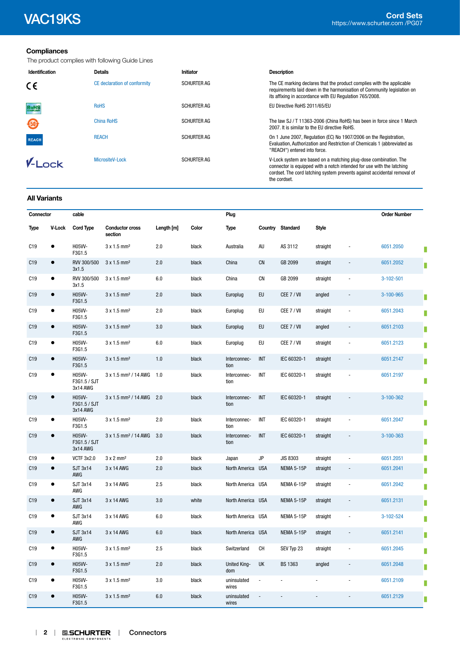# **Compliances**

The product complies with following Guide Lines

| Identification | <b>Details</b>               | Initiator          | <b>Description</b>                                                                                                                                                                                                                    |
|----------------|------------------------------|--------------------|---------------------------------------------------------------------------------------------------------------------------------------------------------------------------------------------------------------------------------------|
| €€             | CE declaration of conformity | <b>SCHURTER AG</b> | The CE marking declares that the product complies with the applicable<br>requirements laid down in the harmonisation of Community legislation on<br>its affixing in accordance with EU Regulation 765/2008.                           |
| <b>RoHS</b>    | <b>RoHS</b>                  | <b>SCHURTER AG</b> | EU Directive RoHS 2011/65/EU                                                                                                                                                                                                          |
| 450            | China RoHS                   | <b>SCHURTER AG</b> | The law SJ / T 11363-2006 (China RoHS) has been in force since 1 March<br>2007. It is similar to the EU directive RoHS.                                                                                                               |
| <b>REACH</b>   | <b>REACH</b>                 | <b>SCHURTER AG</b> | On 1 June 2007, Regulation (EC) No 1907/2006 on the Registration,<br>Evaluation, Authorization and Restriction of Chemicals 1 (abbreviated as<br>"REACH") entered into force.                                                         |
| $V-I$ nck      | MicrositeV-Lock              | <b>SCHURTER AG</b> | V-Lock system are based on a matching plug-dose combination. The<br>connector is equipped with a notch intended for use with the latching<br>cordset. The cord latching system prevents against accidental removal of<br>the cordset. |

#### **All Variants**

| Connector       |               | cable                              |                                   |            |       | Plug                       |            |                   |              |                          | <b>Order Number</b> |
|-----------------|---------------|------------------------------------|-----------------------------------|------------|-------|----------------------------|------------|-------------------|--------------|--------------------------|---------------------|
| <b>Type</b>     | <b>V-Lock</b> | <b>Cord Type</b>                   | <b>Conductor cross</b><br>section | Length [m] | Color | <b>Type</b>                |            | Country Standard  | <b>Style</b> |                          |                     |
| C19             | $\bullet$     | H05W-<br>F3G1.5                    | $3 \times 1.5$ mm <sup>2</sup>    | 2.0        | black | Australia                  | AU         | AS 3112           | straight     |                          | 6051.2050           |
| C19             | $\bullet$     | RVV 300/500<br>3x1.5               | $3x1.5$ mm <sup>2</sup>           | 2.0        | black | China                      | <b>CN</b>  | GB 2099           | straight     | $\overline{\phantom{a}}$ | 6051.2052           |
| C19             | ٠             | RVV 300/500<br>3x1.5               | $3 \times 1.5$ mm <sup>2</sup>    | 6.0        | black | China                      | <b>CN</b>  | GB 2099           | straight     |                          | $3-102-501$         |
| C19             | $\bullet$     | H05W-<br>F3G1.5                    | $3 \times 1.5$ mm <sup>2</sup>    | 2.0        | black | Europlug                   | EU         | CEE 7 / VII       | angled       | $\overline{\phantom{m}}$ | 3-100-965           |
| C19             | $\bullet$     | H05W-<br>F3G1.5                    | $3x1.5$ mm <sup>2</sup>           | 2.0        | black | Europlug                   | EU         | CEE 7 / VII       | straight     | $\sim$                   | 6051.2043           |
| C19             | $\bullet$     | H05W-<br>F3G1.5                    | $3 \times 1.5$ mm <sup>2</sup>    | 3.0        | black | Europlug                   | EU         | CEE 7 / VII       | angled       | $\blacksquare$           | 6051.2103           |
| C19             | $\bullet$     | H05W-<br>F3G1.5                    | $3x1.5$ mm <sup>2</sup>           | 6.0        | black | Europlug                   | EU         | CEE 7 / VII       | straight     | $\sim$                   | 6051.2123           |
| C19             | $\bullet$     | H05W-<br>F3G1.5                    | $3 \times 1.5$ mm <sup>2</sup>    | 1.0        | black | Interconnec-<br>tion       | INT        | IEC 60320-1       | straight     | $\blacksquare$           | 6051.2147           |
| C <sub>19</sub> | $\bullet$     | H05VV-<br>F3G1.5 / SJT<br>3x14 AWG | 3 x 1.5 mm <sup>2</sup> / 14 AWG  | 1.0        | black | Interconnec-<br>tion       | INT        | IEC 60320-1       | straight     |                          | 6051.2197           |
| C19             | $\bullet$     | H05W-<br>F3G1.5 / SJT<br>3x14 AWG  | 3 x 1.5 mm <sup>2</sup> / 14 AWG  | 2.0        | black | Interconnec-<br>tion       | <b>INT</b> | IEC 60320-1       | straight     |                          | 3-100-362           |
| C19             | $\bullet$     | H05VV-<br>F3G1.5                   | $3x1.5$ mm <sup>2</sup>           | 2.0        | black | Interconnec-<br>tion       | INT        | IEC 60320-1       | straight     | $\overline{a}$           | 6051.2047           |
| C19             | $\bullet$     | H05W-<br>F3G1.5 / SJT<br>3x14 AWG  | 3 x 1.5 mm <sup>2</sup> / 14 AWG  | 3.0        | black | Interconnec-<br>tion       | <b>INT</b> | IEC 60320-1       | straight     | $\blacksquare$           | 3-100-363           |
| C <sub>19</sub> | $\bullet$     | <b>VCTF 3x2.0</b>                  | $3 \times 2$ mm <sup>2</sup>      | 2.0        | black | Japan                      | JP         | <b>JIS 8303</b>   | straight     | L,                       | 6051.2051           |
| C19             | $\bullet$     | <b>SJT 3x14</b><br>AWG             | 3 x 14 AWG                        | 2.0        | black | North America USA          |            | <b>NEMA 5-15P</b> | straight     | $\overline{\phantom{a}}$ | 6051.2041           |
| C19             | $\bullet$     | <b>SJT 3x14</b><br>AWG             | 3 x 14 AWG                        | 2.5        | black | North America USA          |            | NEMA 6-15P        | straight     | $\overline{\phantom{a}}$ | 6051.2042           |
| C19             | $\bullet$     | <b>SJT 3x14</b><br>AWG             | 3 x 14 AWG                        | 3.0        | white | North America USA          |            | NEMA 5-15P        | straight     | $\overline{\phantom{a}}$ | 6051.2131           |
| C19             | $\bullet$     | <b>SJT 3x14</b><br>AWG             | 3 x 14 AWG                        | 6.0        | black | North America USA          |            | NEMA 5-15P        | straight     | $\sim$                   | 3-102-524           |
| C19             | $\bullet$     | <b>SJT 3x14</b><br>AWG             | 3 x 14 AWG                        | 6.0        | black | North America USA          |            | NEMA 5-15P        | straight     | $\blacksquare$           | 6051.2141           |
| C19             | $\bullet$     | H05W-<br>F3G1.5                    | 3 x 1.5 mm <sup>2</sup>           | 2.5        | black | Switzerland                | CH         | SEV Typ 23        | straight     | $\sim$                   | 6051.2045           |
| C19             | $\bullet$     | H05W-<br>F3G1.5                    | $3 \times 1.5$ mm <sup>2</sup>    | 2.0        | black | <b>United King-</b><br>dom | UK         | <b>BS 1363</b>    | angled       | $\overline{\phantom{a}}$ | 6051.2048           |
| C19             | $\bullet$     | H05W-<br>F3G1.5                    | $3x1.5$ mm <sup>2</sup>           | 3.0        | black | uninsulated<br>wires       |            |                   |              |                          | 6051.2109           |
| C19             | $\bullet$     | <b>H05VV-</b><br>F3G1.5            | $3 \times 1.5$ mm <sup>2</sup>    | 6.0        | black | uninsulated<br>wires       |            |                   |              |                          | 6051.2129           |